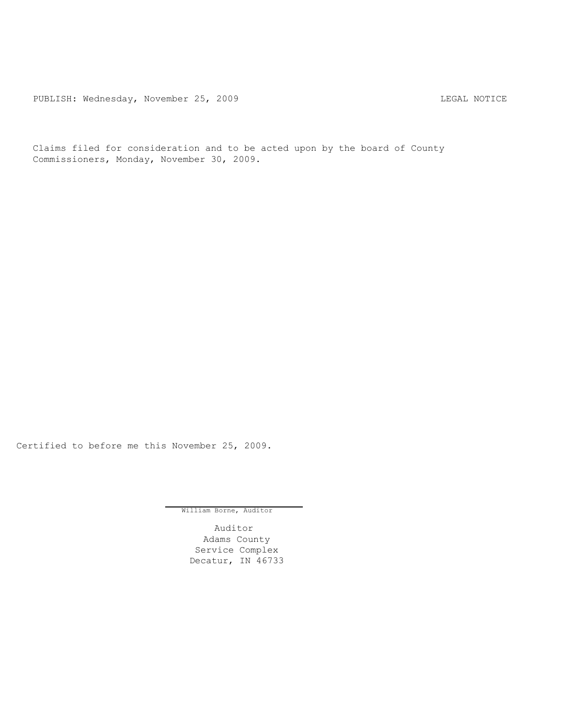PUBLISH: Wednesday, November 25, 2009 COMPONEY CONSIDERTY REGAL NOTICE

Claims filed for consideration and to be acted upon by the board of County Commissioners, Monday, November 30, 2009.

Certified to before me this November 25, 2009.

William Borne, Auditor

Auditor Adams County Service Complex Decatur, IN 46733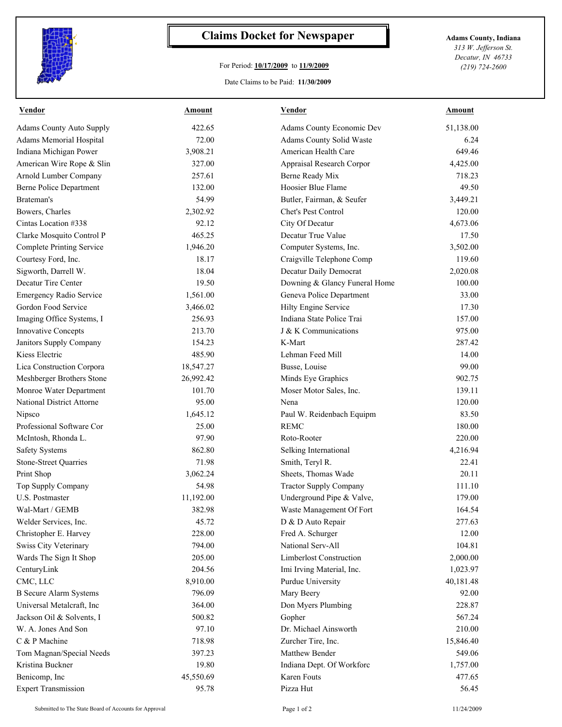

## **Claims Docket for Newspaper Adams County, Indiana**

## For Period: **10/17/2009** to **11/9/2009**

*313 W. Jefferson St. Decatur, IN 46733 (219) 724-2600*

Date Claims to be Paid: **11/30/2009**

| <b>Vendor</b>                    | <b>Amount</b> | <b>Vendor</b>                  | <b>Amount</b> |
|----------------------------------|---------------|--------------------------------|---------------|
| <b>Adams County Auto Supply</b>  | 422.65        | Adams County Economic Dev      | 51,138.00     |
| Adams Memorial Hospital          | 72.00         | Adams County Solid Waste       | 6.24          |
| Indiana Michigan Power           | 3,908.21      | American Health Care           | 649.46        |
| American Wire Rope & Slin        | 327.00        | Appraisal Research Corpor      | 4,425.00      |
| Arnold Lumber Company            | 257.61        | Berne Ready Mix                | 718.23        |
| <b>Berne Police Department</b>   | 132.00        | Hoosier Blue Flame             | 49.50         |
| Brateman's                       | 54.99         | Butler, Fairman, & Seufer      | 3,449.21      |
| Bowers, Charles                  | 2,302.92      | Chet's Pest Control            | 120.00        |
| Cintas Location #338             | 92.12         | City Of Decatur                | 4,673.06      |
| Clarke Mosquito Control P        | 465.25        | Decatur True Value             | 17.50         |
| <b>Complete Printing Service</b> | 1,946.20      | Computer Systems, Inc.         | 3,502.00      |
| Courtesy Ford, Inc.              | 18.17         | Craigville Telephone Comp      | 119.60        |
| Sigworth, Darrell W.             | 18.04         | Decatur Daily Democrat         | 2,020.08      |
| Decatur Tire Center              | 19.50         | Downing & Glancy Funeral Home  | 100.00        |
| Emergency Radio Service          | 1,561.00      | Geneva Police Department       | 33.00         |
| Gordon Food Service              | 3,466.02      | Hilty Engine Service           | 17.30         |
| Imaging Office Systems, I        | 256.93        | Indiana State Police Trai      | 157.00        |
| <b>Innovative Concepts</b>       | 213.70        | J & K Communications           | 975.00        |
| Janitors Supply Company          | 154.23        | K-Mart                         | 287.42        |
| Kiess Electric                   | 485.90        | Lehman Feed Mill               | 14.00         |
| Lica Construction Corpora        | 18,547.27     | Busse, Louise                  | 99.00         |
| Meshberger Brothers Stone        | 26,992.42     | Minds Eye Graphics             | 902.75        |
| Monroe Water Department          | 101.70        | Moser Motor Sales, Inc.        | 139.11        |
| National District Attorne        | 95.00         | Nena                           | 120.00        |
| Nipsco                           | 1,645.12      | Paul W. Reidenbach Equipm      | 83.50         |
| Professional Software Cor        | 25.00         | <b>REMC</b>                    | 180.00        |
| McIntosh, Rhonda L.              | 97.90         | Roto-Rooter                    | 220.00        |
| <b>Safety Systems</b>            | 862.80        | Selking International          | 4,216.94      |
| <b>Stone-Street Quarries</b>     | 71.98         | Smith, Teryl R.                | 22.41         |
| Print Shop                       | 3,062.24      | Sheets, Thomas Wade            | 20.11         |
| Top Supply Company               | 54.98         | <b>Tractor Supply Company</b>  | 111.10        |
| U.S. Postmaster                  | 11,192.00     | Underground Pipe & Valve,      | 179.00        |
| Wal-Mart / GEMB                  | 382.98        | Waste Management Of Fort       | 164.54        |
| Welder Services, Inc.            | 45.72         | D & D Auto Repair              | 277.63        |
| Christopher E. Harvey            | 228.00        | Fred A. Schurger               | 12.00         |
| Swiss City Veterinary            | 794.00        | National Serv-All              | 104.81        |
| Wards The Sign It Shop           | 205.00        | <b>Limberlost Construction</b> | 2,000.00      |
| CenturyLink                      | 204.56        | Imi Irving Material, Inc.      | 1,023.97      |
| CMC, LLC                         | 8,910.00      | Purdue University              | 40,181.48     |
| <b>B</b> Secure Alarm Systems    | 796.09        | Mary Beery                     | 92.00         |
| Universal Metalcraft, Inc        | 364.00        | Don Myers Plumbing             | 228.87        |
| Jackson Oil & Solvents, I        | 500.82        | Gopher                         | 567.24        |
| W. A. Jones And Son              | 97.10         | Dr. Michael Ainsworth          | 210.00        |
| C & P Machine                    | 718.98        | Zurcher Tire, Inc.             | 15,846.40     |
| Tom Magnan/Special Needs         | 397.23        | Matthew Bender                 | 549.06        |
| Kristina Buckner                 | 19.80         | Indiana Dept. Of Workforc      | 1,757.00      |
| Benicomp, Inc                    | 45,550.69     | Karen Fouts                    | 477.65        |
| <b>Expert Transmission</b>       | 95.78         | Pizza Hut                      | 56.45         |